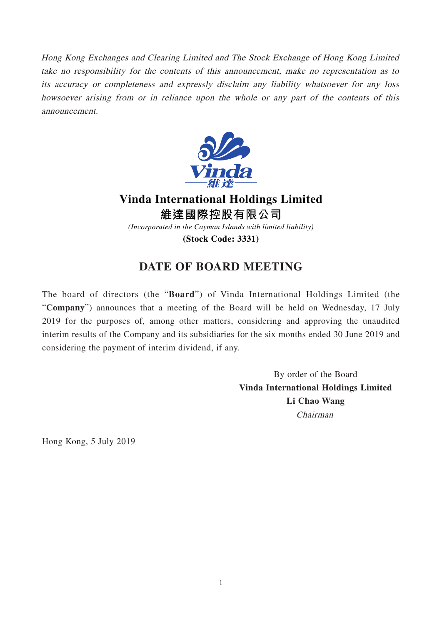Hong Kong Exchanges and Clearing Limited and The Stock Exchange of Hong Kong Limited take no responsibility for the contents of this announcement, make no representation as to its accuracy or completeness and expressly disclaim any liability whatsoever for any loss howsoever arising from or in reliance upon the whole or any part of the contents of this announcement.



## **Vinda International Holdings Limited 維達國際控股有限公司**

*(Incorporated in the Cayman Islands with limited liability)*

**(Stock Code: 3331)**

## **DATE OF BOARD MEETING**

The board of directors (the "**Board**") of Vinda International Holdings Limited (the "**Company**") announces that a meeting of the Board will be held on Wednesday, 17 July 2019 for the purposes of, among other matters, considering and approving the unaudited interim results of the Company and its subsidiaries for the six months ended 30 June 2019 and considering the payment of interim dividend, if any.

> By order of the Board **Vinda International Holdings Limited Li Chao Wang** Chairman

Hong Kong, 5 July 2019